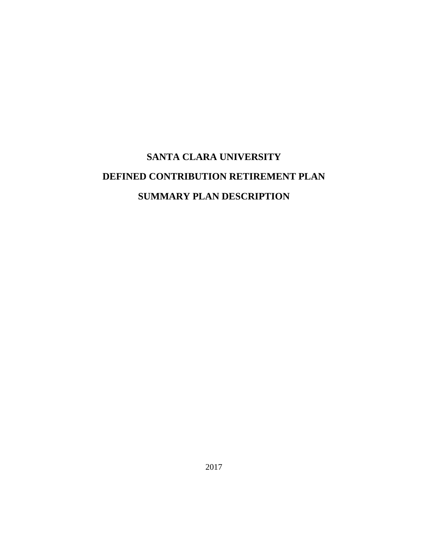# **SANTA CLARA UNIVERSITY DEFINED CONTRIBUTION RETIREMENT PLAN SUMMARY PLAN DESCRIPTION**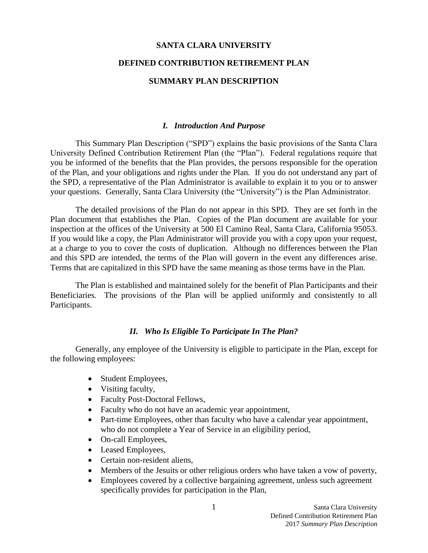#### **SANTA CLARA UNIVERSITY**

#### **DEFINED CONTRIBUTION RETIREMENT PLAN**

## **SUMMARY PLAN DESCRIPTION**

#### <span id="page-1-0"></span>*I. Introduction And Purpose*

This Summary Plan Description ("SPD") explains the basic provisions of the Santa Clara University Defined Contribution Retirement Plan (the "Plan"). Federal regulations require that you be informed of the benefits that the Plan provides, the persons responsible for the operation of the Plan, and your obligations and rights under the Plan. If you do not understand any part of the SPD, a representative of the Plan Administrator is available to explain it to you or to answer your questions. Generally, Santa Clara University (the "University") is the Plan Administrator.

The detailed provisions of the Plan do not appear in this SPD. They are set forth in the Plan document that establishes the Plan. Copies of the Plan document are available for your inspection at the offices of the University at 500 El Camino Real, Santa Clara, California 95053. If you would like a copy, the Plan Administrator will provide you with a copy upon your request, at a charge to you to cover the costs of duplication. Although no differences between the Plan and this SPD are intended, the terms of the Plan will govern in the event any differences arise. Terms that are capitalized in this SPD have the same meaning as those terms have in the Plan.

The Plan is established and maintained solely for the benefit of Plan Participants and their Beneficiaries. The provisions of the Plan will be applied uniformly and consistently to all Participants.

#### <span id="page-1-1"></span>*II. Who Is Eligible To Participate In The Plan?*

Generally, any employee of the University is eligible to participate in the Plan, except for the following employees:

- Student Employees,
- Visiting faculty,
- Faculty Post-Doctoral Fellows,
- Faculty who do not have an academic year appointment,
- Part-time Employees, other than faculty who have a calendar year appointment, who do not complete a Year of Service in an eligibility period,
- On-call Employees,
- Leased Employees,
- Certain non-resident aliens,
- Members of the Jesuits or other religious orders who have taken a vow of poverty,
- Employees covered by a collective bargaining agreement, unless such agreement specifically provides for participation in the Plan,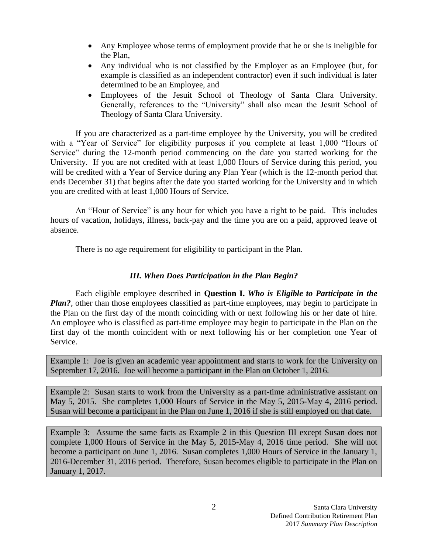- Any Employee whose terms of employment provide that he or she is ineligible for the Plan,
- Any individual who is not classified by the Employer as an Employee (but, for example is classified as an independent contractor) even if such individual is later determined to be an Employee, and
- Employees of the Jesuit School of Theology of Santa Clara University. Generally, references to the "University" shall also mean the Jesuit School of Theology of Santa Clara University.

If you are characterized as a part-time employee by the University, you will be credited with a "Year of Service" for eligibility purposes if you complete at least 1,000 "Hours of Service" during the 12-month period commencing on the date you started working for the University. If you are not credited with at least 1,000 Hours of Service during this period, you will be credited with a Year of Service during any Plan Year (which is the 12-month period that ends December 31) that begins after the date you started working for the University and in which you are credited with at least 1,000 Hours of Service.

An "Hour of Service" is any hour for which you have a right to be paid. This includes hours of vacation, holidays, illness, back-pay and the time you are on a paid, approved leave of absence.

There is no age requirement for eligibility to participant in the Plan.

# <span id="page-2-0"></span>*III. When Does Participation in the Plan Begin?*

Each eligible employee described in **Question I.** *Who is Eligible to Participate in the Plan?*, other than those employees classified as part-time employees, may begin to participate in the Plan on the first day of the month coinciding with or next following his or her date of hire. An employee who is classified as part-time employee may begin to participate in the Plan on the first day of the month coincident with or next following his or her completion one Year of Service.

Example 1: Joe is given an academic year appointment and starts to work for the University on September 17, 2016. Joe will become a participant in the Plan on October 1, 2016.

Example 2: Susan starts to work from the University as a part-time administrative assistant on May 5, 2015. She completes 1,000 Hours of Service in the May 5, 2015-May 4, 2016 period. Susan will become a participant in the Plan on June 1, 2016 if she is still employed on that date.

Example 3: Assume the same facts as Example 2 in this Question III except Susan does not complete 1,000 Hours of Service in the May 5, 2015-May 4, 2016 time period. She will not become a participant on June 1, 2016. Susan completes 1,000 Hours of Service in the January 1, 2016-December 31, 2016 period. Therefore, Susan becomes eligible to participate in the Plan on January 1, 2017.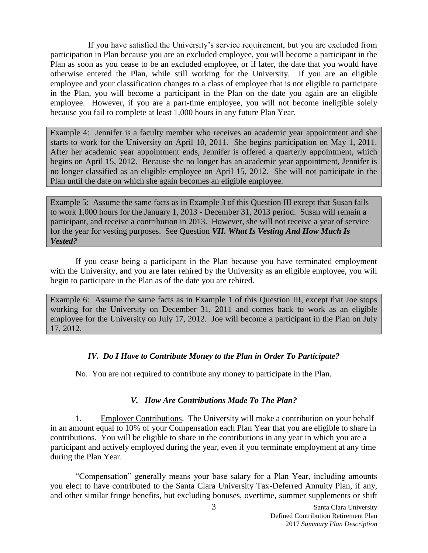If you have satisfied the University's service requirement, but you are excluded from participation in Plan because you are an excluded employee, you will become a participant in the Plan as soon as you cease to be an excluded employee, or if later, the date that you would have otherwise entered the Plan, while still working for the University. If you are an eligible employee and your classification changes to a class of employee that is not eligible to participate in the Plan, you will become a participant in the Plan on the date you again are an eligible employee. However, if you are a part-time employee, you will not become ineligible solely because you fail to complete at least 1,000 hours in any future Plan Year.

Example 4: Jennifer is a faculty member who receives an academic year appointment and she starts to work for the University on April 10, 2011. She begins participation on May 1, 2011. After her academic year appointment ends, Jennifer is offered a quarterly appointment, which begins on April 15, 2012. Because she no longer has an academic year appointment, Jennifer is no longer classified as an eligible employee on April 15, 2012. She will not participate in the Plan until the date on which she again becomes an eligible employee.

Example 5: Assume the same facts as in Example 3 of this Question III except that Susan fails to work 1,000 hours for the January 1, 2013 - December 31, 2013 period. Susan will remain a participant, and receive a contribution in 2013. However, she will not receive a year of service for the year for vesting purposes. See Question *VII. What Is Vesting And How Much Is Vested?*

If you cease being a participant in the Plan because you have terminated employment with the University, and you are later rehired by the University as an eligible employee, you will begin to participate in the Plan as of the date you are rehired.

Example 6: Assume the same facts as in Example 1 of this Question III, except that Joe stops working for the University on December 31, 2011 and comes back to work as an eligible employee for the University on July 17, 2012. Joe will become a participant in the Plan on July 17, 2012.

# <span id="page-3-0"></span>*IV. Do I Have to Contribute Money to the Plan in Order To Participate?*

No. You are not required to contribute any money to participate in the Plan.

# <span id="page-3-1"></span>*V. How Are Contributions Made To The Plan?*

1. Employer Contributions. The University will make a contribution on your behalf in an amount equal to 10% of your Compensation each Plan Year that you are eligible to share in contributions. You will be eligible to share in the contributions in any year in which you are a participant and actively employed during the year, even if you terminate employment at any time during the Plan Year.

"Compensation" generally means your base salary for a Plan Year, including amounts you elect to have contributed to the Santa Clara University Tax-Deferred Annuity Plan, if any, and other similar fringe benefits, but excluding bonuses, overtime, summer supplements or shift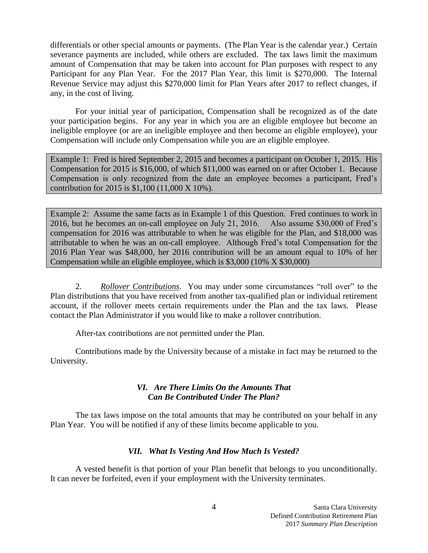differentials or other special amounts or payments. (The Plan Year is the calendar year.) Certain severance payments are included, while others are excluded. The tax laws limit the maximum amount of Compensation that may be taken into account for Plan purposes with respect to any Participant for any Plan Year. For the 2017 Plan Year, this limit is \$270,000. The Internal Revenue Service may adjust this \$270,000 limit for Plan Years after 2017 to reflect changes, if any, in the cost of living.

For your initial year of participation, Compensation shall be recognized as of the date your participation begins. For any year in which you are an eligible employee but become an ineligible employee (or are an ineligible employee and then become an eligible employee), your Compensation will include only Compensation while you are an eligible employee.

Example 1: Fred is hired September 2, 2015 and becomes a participant on October 1, 2015. His Compensation for 2015 is \$16,000, of which \$11,000 was earned on or after October 1. Because Compensation is only recognized from the date an employee becomes a participant, Fred's contribution for 2015 is \$1,100 (11,000 X 10%).

Example 2: Assume the same facts as in Example 1 of this Question. Fred continues to work in 2016, but he becomes an on-call employee on July 21, 2016. Also assume \$30,000 of Fred's compensation for 2016 was attributable to when he was eligible for the Plan, and \$18,000 was attributable to when he was an on-call employee. Although Fred's total Compensation for the 2016 Plan Year was \$48,000, her 2016 contribution will be an amount equal to 10% of her Compensation while an eligible employee, which is \$3,000 (10% X \$30,000)

2. *Rollover Contributions*. You may under some circumstances "roll over" to the Plan distributions that you have received from another tax-qualified plan or individual retirement account, if the rollover meets certain requirements under the Plan and the tax laws. Please contact the Plan Administrator if you would like to make a rollover contribution.

After-tax contributions are not permitted under the Plan.

Contributions made by the University because of a mistake in fact may be returned to the University.

# <span id="page-4-0"></span>*VI. Are There Limits On the Amounts That Can Be Contributed Under The Plan?*

The tax laws impose on the total amounts that may be contributed on your behalf in any Plan Year. You will be notified if any of these limits become applicable to you.

# <span id="page-4-1"></span>*VII. What Is Vesting And How Much Is Vested?*

A vested benefit is that portion of your Plan benefit that belongs to you unconditionally. It can never be forfeited, even if your employment with the University terminates.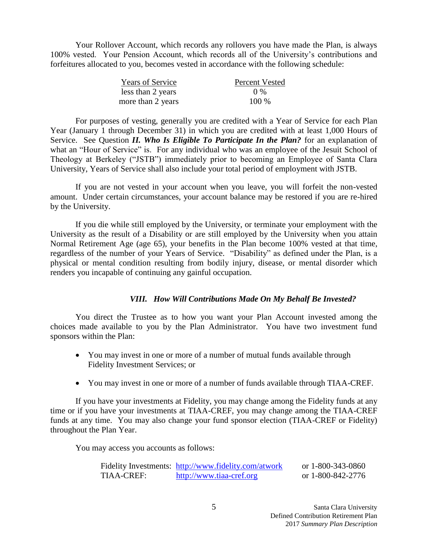Your Rollover Account, which records any rollovers you have made the Plan, is always 100% vested. Your Pension Account, which records all of the University's contributions and forfeitures allocated to you, becomes vested in accordance with the following schedule:

| <b>Years of Service</b> | <b>Percent Vested</b> |
|-------------------------|-----------------------|
| less than 2 years       | (1.96)                |
| more than 2 years       | 100 %                 |

For purposes of vesting, generally you are credited with a Year of Service for each Plan Year (January 1 through December 31) in which you are credited with at least 1,000 Hours of Service. See Question *II. Who Is Eligible To Participate In the Plan?* for an explanation of what an "Hour of Service" is. For any individual who was an employee of the Jesuit School of Theology at Berkeley ("JSTB") immediately prior to becoming an Employee of Santa Clara University, Years of Service shall also include your total period of employment with JSTB.

If you are not vested in your account when you leave, you will forfeit the non-vested amount. Under certain circumstances, your account balance may be restored if you are re-hired by the University.

If you die while still employed by the University, or terminate your employment with the University as the result of a Disability or are still employed by the University when you attain Normal Retirement Age (age 65), your benefits in the Plan become 100% vested at that time, regardless of the number of your Years of Service. "Disability" as defined under the Plan, is a physical or mental condition resulting from bodily injury, disease, or mental disorder which renders you incapable of continuing any gainful occupation.

## <span id="page-5-0"></span>*VIII. How Will Contributions Made On My Behalf Be Invested?*

You direct the Trustee as to how you want your Plan Account invested among the choices made available to you by the Plan Administrator. You have two investment fund sponsors within the Plan:

- You may invest in one or more of a number of mutual funds available through Fidelity Investment Services; or
- You may invest in one or more of a number of funds available through TIAA-CREF.

If you have your investments at Fidelity, you may change among the Fidelity funds at any time or if you have your investments at TIAA-CREF, you may change among the TIAA-CREF funds at any time. You may also change your fund sponsor election (TIAA-CREF or Fidelity) throughout the Plan Year.

You may access you accounts as follows:

|            | Fidelity Investments: http://www.fidelity.com/atwork | or 1-800-343-0860 |
|------------|------------------------------------------------------|-------------------|
| TIAA-CREF: | http://www.tiaa-cref.org                             | or 1-800-842-2776 |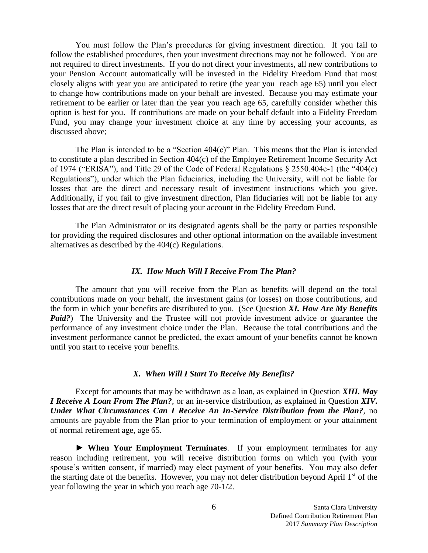You must follow the Plan's procedures for giving investment direction. If you fail to follow the established procedures, then your investment directions may not be followed. You are not required to direct investments. If you do not direct your investments, all new contributions to your Pension Account automatically will be invested in the Fidelity Freedom Fund that most closely aligns with year you are anticipated to retire (the year you reach age 65) until you elect to change how contributions made on your behalf are invested. Because you may estimate your retirement to be earlier or later than the year you reach age 65, carefully consider whether this option is best for you. If contributions are made on your behalf default into a Fidelity Freedom Fund, you may change your investment choice at any time by accessing your accounts, as discussed above;

The Plan is intended to be a "Section  $404(c)$ " Plan. This means that the Plan is intended to constitute a plan described in Section 404(c) of the Employee Retirement Income Security Act of 1974 ("ERISA"), and Title 29 of the Code of Federal Regulations § 2550.404c-1 (the "404(c) Regulations"), under which the Plan fiduciaries, including the University, will not be liable for losses that are the direct and necessary result of investment instructions which you give. Additionally, if you fail to give investment direction, Plan fiduciaries will not be liable for any losses that are the direct result of placing your account in the Fidelity Freedom Fund.

The Plan Administrator or its designated agents shall be the party or parties responsible for providing the required disclosures and other optional information on the available investment alternatives as described by the 404(c) Regulations.

#### <span id="page-6-0"></span>*IX. How Much Will I Receive From The Plan?*

The amount that you will receive from the Plan as benefits will depend on the total contributions made on your behalf, the investment gains (or losses) on those contributions, and the form in which your benefits are distributed to you. (See Question *XI. How Are My Benefits Paid?*) The University and the Trustee will not provide investment advice or guarantee the performance of any investment choice under the Plan. Because the total contributions and the investment performance cannot be predicted, the exact amount of your benefits cannot be known until you start to receive your benefits.

#### <span id="page-6-1"></span>*X. When Will I Start To Receive My Benefits?*

Except for amounts that may be withdrawn as a loan, as explained in Question *XIII. May I Receive A Loan From The Plan?*, or an in-service distribution, as explained in Question *XIV***.** *Under What Circumstances Can I Receive An In-Service Distribution from the Plan?,* no amounts are payable from the Plan prior to your termination of employment or your attainment of normal retirement age, age 65.

► **When Your Employment Terminates**. If your employment terminates for any reason including retirement, you will receive distribution forms on which you (with your spouse's written consent, if married) may elect payment of your benefits. You may also defer the starting date of the benefits. However, you may not defer distribution beyond April 1st of the year following the year in which you reach age 70-1/2.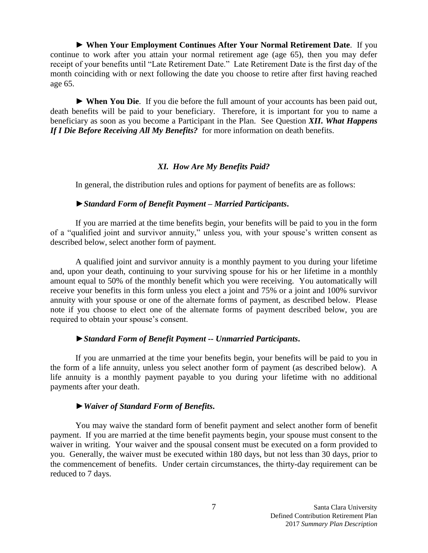► **When Your Employment Continues After Your Normal Retirement Date**. If you continue to work after you attain your normal retirement age (age 65), then you may defer receipt of your benefits until "Late Retirement Date." Late Retirement Date is the first day of the month coinciding with or next following the date you choose to retire after first having reached age 65.

► **When You Die**. If you die before the full amount of your accounts has been paid out, death benefits will be paid to your beneficiary. Therefore, it is important for you to name a beneficiary as soon as you become a Participant in the Plan. See Question *XII***.** *What Happens If I Die Before Receiving All My Benefits?* for more information on death benefits.

#### <span id="page-7-0"></span>*XI. How Are My Benefits Paid?*

In general, the distribution rules and options for payment of benefits are as follows:

## ►*Standard Form of Benefit Payment – Married Participants***.**

If you are married at the time benefits begin, your benefits will be paid to you in the form of a "qualified joint and survivor annuity," unless you, with your spouse's written consent as described below, select another form of payment.

A qualified joint and survivor annuity is a monthly payment to you during your lifetime and, upon your death, continuing to your surviving spouse for his or her lifetime in a monthly amount equal to 50% of the monthly benefit which you were receiving. You automatically will receive your benefits in this form unless you elect a joint and 75% or a joint and 100% survivor annuity with your spouse or one of the alternate forms of payment, as described below. Please note if you choose to elect one of the alternate forms of payment described below, you are required to obtain your spouse's consent.

#### ►*Standard Form of Benefit Payment -- Unmarried Participants***.**

If you are unmarried at the time your benefits begin, your benefits will be paid to you in the form of a life annuity, unless you select another form of payment (as described below). A life annuity is a monthly payment payable to you during your lifetime with no additional payments after your death.

## ►*Waiver of Standard Form of Benefits***.**

You may waive the standard form of benefit payment and select another form of benefit payment. If you are married at the time benefit payments begin, your spouse must consent to the waiver in writing. Your waiver and the spousal consent must be executed on a form provided to you. Generally, the waiver must be executed within 180 days, but not less than 30 days, prior to the commencement of benefits. Under certain circumstances, the thirty-day requirement can be reduced to 7 days.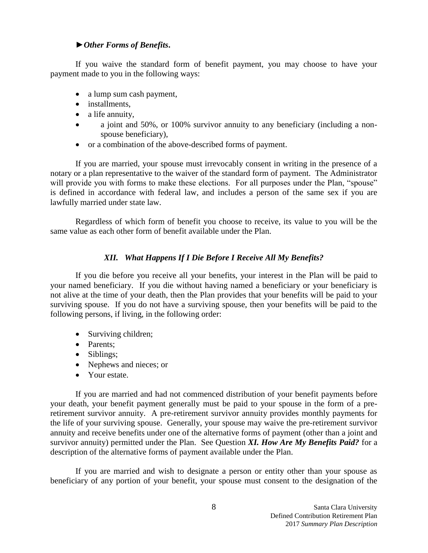## ►*Other Forms of Benefits***.**

If you waive the standard form of benefit payment, you may choose to have your payment made to you in the following ways:

- a lump sum cash payment,
- installments,
- a life annuity,
- a joint and 50%, or 100% survivor annuity to any beneficiary (including a nonspouse beneficiary),
- or a combination of the above-described forms of payment.

If you are married, your spouse must irrevocably consent in writing in the presence of a notary or a plan representative to the waiver of the standard form of payment. The Administrator will provide you with forms to make these elections. For all purposes under the Plan, "spouse" is defined in accordance with federal law, and includes a person of the same sex if you are lawfully married under state law.

Regardless of which form of benefit you choose to receive, its value to you will be the same value as each other form of benefit available under the Plan.

# <span id="page-8-0"></span>*XII. What Happens If I Die Before I Receive All My Benefits?*

If you die before you receive all your benefits, your interest in the Plan will be paid to your named beneficiary. If you die without having named a beneficiary or your beneficiary is not alive at the time of your death, then the Plan provides that your benefits will be paid to your surviving spouse. If you do not have a surviving spouse, then your benefits will be paid to the following persons, if living, in the following order:

- Surviving children;
- Parents;
- Siblings;
- Nephews and nieces; or
- Your estate.

If you are married and had not commenced distribution of your benefit payments before your death, your benefit payment generally must be paid to your spouse in the form of a preretirement survivor annuity. A pre-retirement survivor annuity provides monthly payments for the life of your surviving spouse. Generally, your spouse may waive the pre-retirement survivor annuity and receive benefits under one of the alternative forms of payment (other than a joint and survivor annuity) permitted under the Plan. See Question *XI. How Are My Benefits Paid?* for a description of the alternative forms of payment available under the Plan.

If you are married and wish to designate a person or entity other than your spouse as beneficiary of any portion of your benefit, your spouse must consent to the designation of the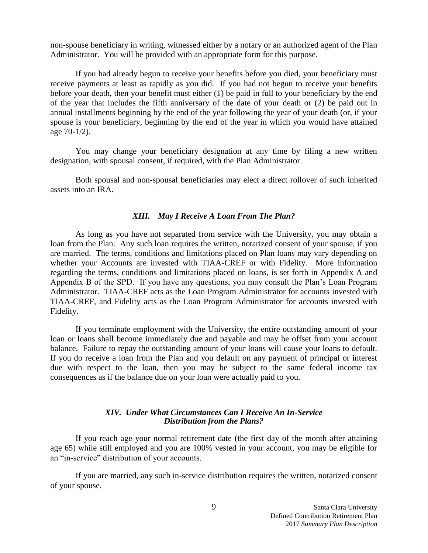non-spouse beneficiary in writing, witnessed either by a notary or an authorized agent of the Plan Administrator. You will be provided with an appropriate form for this purpose.

If you had already begun to receive your benefits before you died, your beneficiary must receive payments at least as rapidly as you did. If you had not begun to receive your benefits before your death, then your benefit must either (1) be paid in full to your beneficiary by the end of the year that includes the fifth anniversary of the date of your death or (2) be paid out in annual installments beginning by the end of the year following the year of your death (or, if your spouse is your beneficiary, beginning by the end of the year in which you would have attained age 70-1/2).

You may change your beneficiary designation at any time by filing a new written designation, with spousal consent, if required, with the Plan Administrator.

Both spousal and non-spousal beneficiaries may elect a direct rollover of such inherited assets into an IRA.

#### <span id="page-9-0"></span>*XIII. May I Receive A Loan From The Plan?*

As long as you have not separated from service with the University, you may obtain a loan from the Plan. Any such loan requires the written, notarized consent of your spouse, if you are married. The terms, conditions and limitations placed on Plan loans may vary depending on whether your Accounts are invested with TIAA-CREF or with Fidelity. More information regarding the terms, conditions and limitations placed on loans, is set forth in Appendix A and Appendix B of the SPD. If you have any questions, you may consult the Plan's Loan Program Administrator. TIAA-CREF acts as the Loan Program Administrator for accounts invested with TIAA-CREF, and Fidelity acts as the Loan Program Administrator for accounts invested with Fidelity.

If you terminate employment with the University, the entire outstanding amount of your loan or loans shall become immediately due and payable and may be offset from your account balance. Failure to repay the outstanding amount of your loans will cause your loans to default. If you do receive a loan from the Plan and you default on any payment of principal or interest due with respect to the loan, then you may be subject to the same federal income tax consequences as if the balance due on your loan were actually paid to you.

#### <span id="page-9-1"></span>*XIV. Under What Circumstances Can I Receive An In-Service Distribution from the Plans?*

If you reach age your normal retirement date (the first day of the month after attaining age 65) while still employed and you are 100% vested in your account, you may be eligible for an "in-service" distribution of your accounts.

If you are married, any such in-service distribution requires the written, notarized consent of your spouse.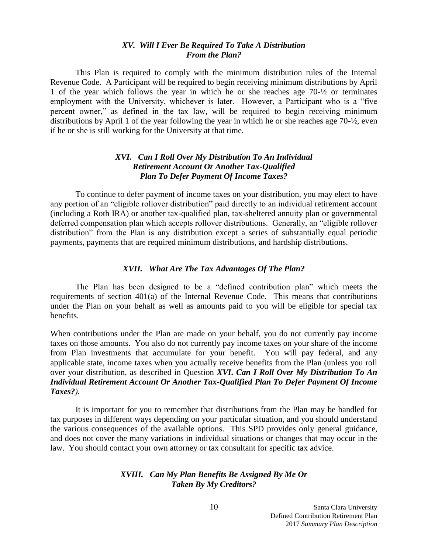## <span id="page-10-0"></span>*XV. Will I Ever Be Required To Take A Distribution From the Plan?*

This Plan is required to comply with the minimum distribution rules of the Internal Revenue Code. A Participant will be required to begin receiving minimum distributions by April 1 of the year which follows the year in which he or she reaches age 70-½ or terminates employment with the University, whichever is later. However, a Participant who is a "five percent owner," as defined in the tax law, will be required to begin receiving minimum distributions by April 1 of the year following the year in which he or she reaches age 70-½, even if he or she is still working for the University at that time.

## <span id="page-10-1"></span>*XVI. Can I Roll Over My Distribution To An Individual Retirement Account Or Another Tax-Qualified Plan To Defer Payment Of Income Taxes?*

To continue to defer payment of income taxes on your distribution, you may elect to have any portion of an "eligible rollover distribution" paid directly to an individual retirement account (including a Roth IRA) or another tax-qualified plan, tax-sheltered annuity plan or governmental deferred compensation plan which accepts rollover distributions. Generally, an "eligible rollover distribution" from the Plan is any distribution except a series of substantially equal periodic payments, payments that are required minimum distributions, and hardship distributions.

### <span id="page-10-2"></span>*XVII. What Are The Tax Advantages Of The Plan?*

The Plan has been designed to be a "defined contribution plan" which meets the requirements of section 401(a) of the Internal Revenue Code. This means that contributions under the Plan on your behalf as well as amounts paid to you will be eligible for special tax benefits.

When contributions under the Plan are made on your behalf, you do not currently pay income taxes on those amounts. You also do not currently pay income taxes on your share of the income from Plan investments that accumulate for your benefit. You will pay federal, and any applicable state, income taxes when you actually receive benefits from the Plan (unless you roll over your distribution, as described in Question *XVI***.** *Can I Roll Over My Distribution To An Individual Retirement Account Or Another Tax-Qualified Plan To Defer Payment Of Income Taxes?).*

It is important for you to remember that distributions from the Plan may be handled for tax purposes in different ways depending on your particular situation, and you should understand the various consequences of the available options. This SPD provides only general guidance, and does not cover the many variations in individual situations or changes that may occur in the law. You should contact your own attorney or tax consultant for specific tax advice.

## <span id="page-10-3"></span>*XVIII. Can My Plan Benefits Be Assigned By Me Or Taken By My Creditors?*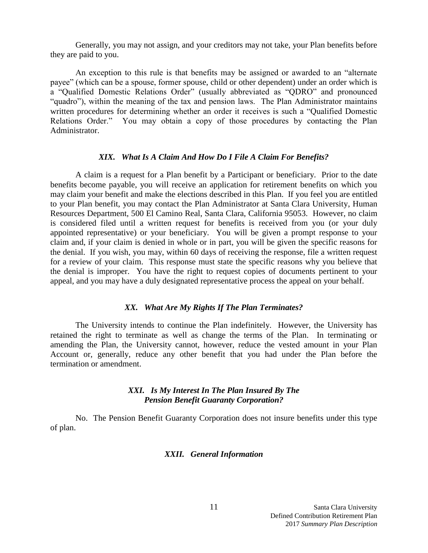Generally, you may not assign, and your creditors may not take, your Plan benefits before they are paid to you.

An exception to this rule is that benefits may be assigned or awarded to an "alternate payee" (which can be a spouse, former spouse, child or other dependent) under an order which is a "Qualified Domestic Relations Order" (usually abbreviated as "QDRO" and pronounced "quadro"), within the meaning of the tax and pension laws. The Plan Administrator maintains written procedures for determining whether an order it receives is such a "Qualified Domestic Relations Order." You may obtain a copy of those procedures by contacting the Plan Administrator.

#### <span id="page-11-0"></span>*XIX. What Is A Claim And How Do I File A Claim For Benefits?*

A claim is a request for a Plan benefit by a Participant or beneficiary. Prior to the date benefits become payable, you will receive an application for retirement benefits on which you may claim your benefit and make the elections described in this Plan. If you feel you are entitled to your Plan benefit, you may contact the Plan Administrator at Santa Clara University, Human Resources Department, 500 El Camino Real, Santa Clara, California 95053. However, no claim is considered filed until a written request for benefits is received from you (or your duly appointed representative) or your beneficiary. You will be given a prompt response to your claim and, if your claim is denied in whole or in part, you will be given the specific reasons for the denial. If you wish, you may, within 60 days of receiving the response, file a written request for a review of your claim. This response must state the specific reasons why you believe that the denial is improper. You have the right to request copies of documents pertinent to your appeal, and you may have a duly designated representative process the appeal on your behalf.

### <span id="page-11-1"></span>*XX. What Are My Rights If The Plan Terminates?*

The University intends to continue the Plan indefinitely. However, the University has retained the right to terminate as well as change the terms of the Plan. In terminating or amending the Plan, the University cannot, however, reduce the vested amount in your Plan Account or, generally, reduce any other benefit that you had under the Plan before the termination or amendment.

## <span id="page-11-2"></span>*XXI. Is My Interest In The Plan Insured By The Pension Benefit Guaranty Corporation?*

No. The Pension Benefit Guaranty Corporation does not insure benefits under this type of plan.

### <span id="page-11-3"></span>*XXII. General Information*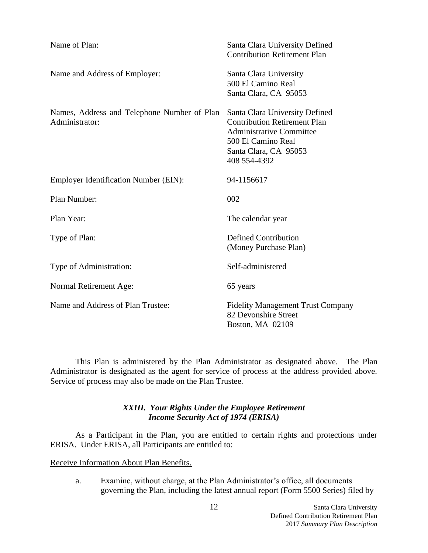| Name of Plan:                                                 | Santa Clara University Defined<br><b>Contribution Retirement Plan</b>                                                                                                   |
|---------------------------------------------------------------|-------------------------------------------------------------------------------------------------------------------------------------------------------------------------|
| Name and Address of Employer:                                 | Santa Clara University<br>500 El Camino Real<br>Santa Clara, CA 95053                                                                                                   |
| Names, Address and Telephone Number of Plan<br>Administrator: | Santa Clara University Defined<br><b>Contribution Retirement Plan</b><br><b>Administrative Committee</b><br>500 El Camino Real<br>Santa Clara, CA 95053<br>408 554-4392 |
| Employer Identification Number (EIN):                         | 94-1156617                                                                                                                                                              |
| Plan Number:                                                  | 002                                                                                                                                                                     |
| Plan Year:                                                    | The calendar year                                                                                                                                                       |
| Type of Plan:                                                 | <b>Defined Contribution</b><br>(Money Purchase Plan)                                                                                                                    |
| Type of Administration:                                       | Self-administered                                                                                                                                                       |
| Normal Retirement Age:                                        | 65 years                                                                                                                                                                |
| Name and Address of Plan Trustee:                             | <b>Fidelity Management Trust Company</b><br>82 Devonshire Street<br>Boston, MA 02109                                                                                    |

This Plan is administered by the Plan Administrator as designated above. The Plan Administrator is designated as the agent for service of process at the address provided above. Service of process may also be made on the Plan Trustee.

## <span id="page-12-0"></span>*XXIII. Your Rights Under the Employee Retirement Income Security Act of 1974 (ERISA)*

As a Participant in the Plan, you are entitled to certain rights and protections under ERISA. Under ERISA, all Participants are entitled to:

## Receive Information About Plan Benefits.

a. Examine, without charge, at the Plan Administrator's office, all documents governing the Plan, including the latest annual report (Form 5500 Series) filed by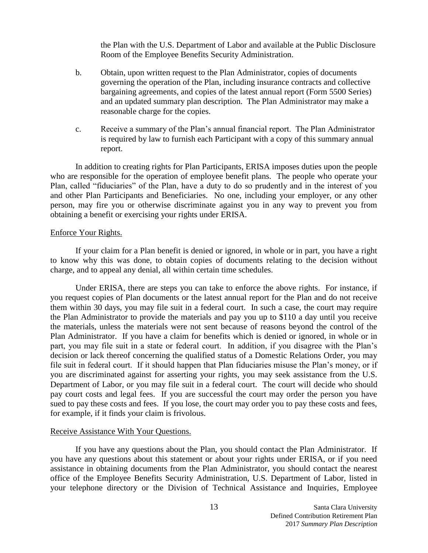the Plan with the U.S. Department of Labor and available at the Public Disclosure Room of the Employee Benefits Security Administration.

- b. Obtain, upon written request to the Plan Administrator, copies of documents governing the operation of the Plan, including insurance contracts and collective bargaining agreements, and copies of the latest annual report (Form 5500 Series) and an updated summary plan description. The Plan Administrator may make a reasonable charge for the copies.
- c. Receive a summary of the Plan's annual financial report. The Plan Administrator is required by law to furnish each Participant with a copy of this summary annual report.

In addition to creating rights for Plan Participants, ERISA imposes duties upon the people who are responsible for the operation of employee benefit plans. The people who operate your Plan, called "fiduciaries" of the Plan, have a duty to do so prudently and in the interest of you and other Plan Participants and Beneficiaries. No one, including your employer, or any other person, may fire you or otherwise discriminate against you in any way to prevent you from obtaining a benefit or exercising your rights under ERISA.

#### Enforce Your Rights.

If your claim for a Plan benefit is denied or ignored, in whole or in part, you have a right to know why this was done, to obtain copies of documents relating to the decision without charge, and to appeal any denial, all within certain time schedules.

Under ERISA, there are steps you can take to enforce the above rights. For instance, if you request copies of Plan documents or the latest annual report for the Plan and do not receive them within 30 days, you may file suit in a federal court. In such a case, the court may require the Plan Administrator to provide the materials and pay you up to \$110 a day until you receive the materials, unless the materials were not sent because of reasons beyond the control of the Plan Administrator. If you have a claim for benefits which is denied or ignored, in whole or in part, you may file suit in a state or federal court. In addition, if you disagree with the Plan's decision or lack thereof concerning the qualified status of a Domestic Relations Order, you may file suit in federal court. If it should happen that Plan fiduciaries misuse the Plan's money, or if you are discriminated against for asserting your rights, you may seek assistance from the U.S. Department of Labor, or you may file suit in a federal court. The court will decide who should pay court costs and legal fees. If you are successful the court may order the person you have sued to pay these costs and fees. If you lose, the court may order you to pay these costs and fees, for example, if it finds your claim is frivolous.

#### Receive Assistance With Your Questions.

If you have any questions about the Plan, you should contact the Plan Administrator. If you have any questions about this statement or about your rights under ERISA, or if you need assistance in obtaining documents from the Plan Administrator, you should contact the nearest office of the Employee Benefits Security Administration, U.S. Department of Labor, listed in your telephone directory or the Division of Technical Assistance and Inquiries, Employee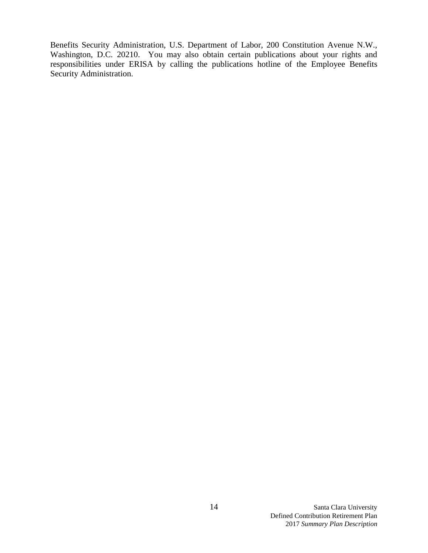Benefits Security Administration, U.S. Department of Labor, 200 Constitution Avenue N.W., Washington, D.C. 20210. You may also obtain certain publications about your rights and responsibilities under ERISA by calling the publications hotline of the Employee Benefits Security Administration.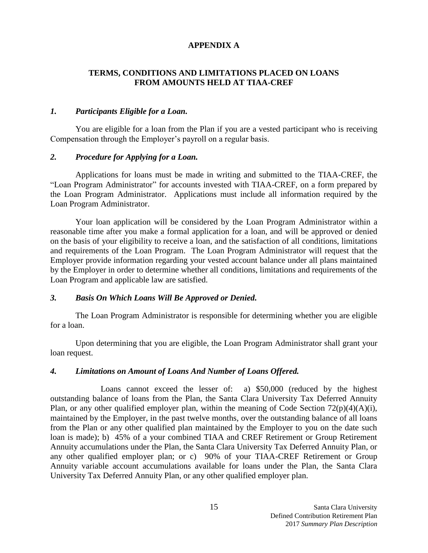## **APPENDIX A**

## **TERMS, CONDITIONS AND LIMITATIONS PLACED ON LOANS FROM AMOUNTS HELD AT TIAA-CREF**

## *1. Participants Eligible for a Loan.*

You are eligible for a loan from the Plan if you are a vested participant who is receiving Compensation through the Employer's payroll on a regular basis.

#### *2. Procedure for Applying for a Loan.*

Applications for loans must be made in writing and submitted to the TIAA-CREF, the "Loan Program Administrator" for accounts invested with TIAA-CREF, on a form prepared by the Loan Program Administrator. Applications must include all information required by the Loan Program Administrator.

Your loan application will be considered by the Loan Program Administrator within a reasonable time after you make a formal application for a loan, and will be approved or denied on the basis of your eligibility to receive a loan, and the satisfaction of all conditions, limitations and requirements of the Loan Program. The Loan Program Administrator will request that the Employer provide information regarding your vested account balance under all plans maintained by the Employer in order to determine whether all conditions, limitations and requirements of the Loan Program and applicable law are satisfied.

#### *3. Basis On Which Loans Will Be Approved or Denied.*

The Loan Program Administrator is responsible for determining whether you are eligible for a loan.

Upon determining that you are eligible, the Loan Program Administrator shall grant your loan request.

#### *4. Limitations on Amount of Loans And Number of Loans Offered.*

Loans cannot exceed the lesser of: a) \$50,000 (reduced by the highest outstanding balance of loans from the Plan, the Santa Clara University Tax Deferred Annuity Plan, or any other qualified employer plan, within the meaning of Code Section  $72(p)(4)(A)(i)$ , maintained by the Employer, in the past twelve months, over the outstanding balance of all loans from the Plan or any other qualified plan maintained by the Employer to you on the date such loan is made); b) 45% of a your combined TIAA and CREF Retirement or Group Retirement Annuity accumulations under the Plan, the Santa Clara University Tax Deferred Annuity Plan, or any other qualified employer plan; or c) 90% of your TIAA-CREF Retirement or Group Annuity variable account accumulations available for loans under the Plan, the Santa Clara University Tax Deferred Annuity Plan, or any other qualified employer plan.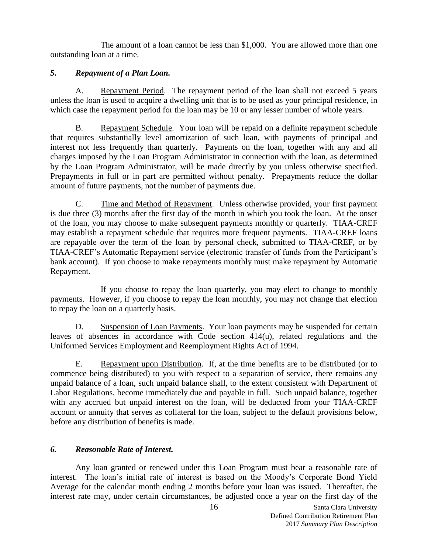The amount of a loan cannot be less than \$1,000. You are allowed more than one outstanding loan at a time.

## *5. Repayment of a Plan Loan.*

A. Repayment Period. The repayment period of the loan shall not exceed 5 years unless the loan is used to acquire a dwelling unit that is to be used as your principal residence, in which case the repayment period for the loan may be 10 or any lesser number of whole years.

B. Repayment Schedule. Your loan will be repaid on a definite repayment schedule that requires substantially level amortization of such loan, with payments of principal and interest not less frequently than quarterly. Payments on the loan, together with any and all charges imposed by the Loan Program Administrator in connection with the loan, as determined by the Loan Program Administrator, will be made directly by you unless otherwise specified. Prepayments in full or in part are permitted without penalty. Prepayments reduce the dollar amount of future payments, not the number of payments due.

C. Time and Method of Repayment. Unless otherwise provided, your first payment is due three (3) months after the first day of the month in which you took the loan. At the onset of the loan, you may choose to make subsequent payments monthly or quarterly. TIAA-CREF may establish a repayment schedule that requires more frequent payments. TIAA-CREF loans are repayable over the term of the loan by personal check, submitted to TIAA-CREF, or by TIAA-CREF's Automatic Repayment service (electronic transfer of funds from the Participant's bank account). If you choose to make repayments monthly must make repayment by Automatic Repayment.

If you choose to repay the loan quarterly, you may elect to change to monthly payments. However, if you choose to repay the loan monthly, you may not change that election to repay the loan on a quarterly basis.

D. Suspension of Loan Payments. Your loan payments may be suspended for certain leaves of absences in accordance with Code section 414(u), related regulations and the Uniformed Services Employment and Reemployment Rights Act of 1994.

E. Repayment upon Distribution. If, at the time benefits are to be distributed (or to commence being distributed) to you with respect to a separation of service, there remains any unpaid balance of a loan, such unpaid balance shall, to the extent consistent with Department of Labor Regulations, become immediately due and payable in full. Such unpaid balance, together with any accrued but unpaid interest on the loan, will be deducted from your TIAA-CREF account or annuity that serves as collateral for the loan, subject to the default provisions below, before any distribution of benefits is made.

# *6. Reasonable Rate of Interest.*

Any loan granted or renewed under this Loan Program must bear a reasonable rate of interest. The loan's initial rate of interest is based on the Moody's Corporate Bond Yield Average for the calendar month ending 2 months before your loan was issued. Thereafter, the interest rate may, under certain circumstances, be adjusted once a year on the first day of the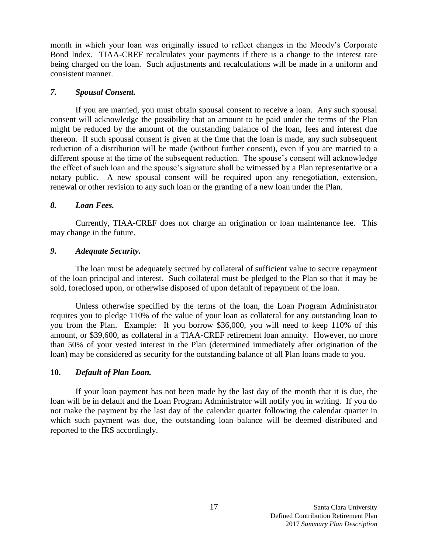month in which your loan was originally issued to reflect changes in the Moody's Corporate Bond Index. TIAA-CREF recalculates your payments if there is a change to the interest rate being charged on the loan. Such adjustments and recalculations will be made in a uniform and consistent manner.

## *7. Spousal Consent.*

If you are married, you must obtain spousal consent to receive a loan. Any such spousal consent will acknowledge the possibility that an amount to be paid under the terms of the Plan might be reduced by the amount of the outstanding balance of the loan, fees and interest due thereon. If such spousal consent is given at the time that the loan is made, any such subsequent reduction of a distribution will be made (without further consent), even if you are married to a different spouse at the time of the subsequent reduction. The spouse's consent will acknowledge the effect of such loan and the spouse's signature shall be witnessed by a Plan representative or a notary public. A new spousal consent will be required upon any renegotiation, extension, renewal or other revision to any such loan or the granting of a new loan under the Plan.

## *8. Loan Fees.*

Currently, TIAA-CREF does not charge an origination or loan maintenance fee. This may change in the future.

## *9. Adequate Security.*

The loan must be adequately secured by collateral of sufficient value to secure repayment of the loan principal and interest. Such collateral must be pledged to the Plan so that it may be sold, foreclosed upon, or otherwise disposed of upon default of repayment of the loan.

Unless otherwise specified by the terms of the loan, the Loan Program Administrator requires you to pledge 110% of the value of your loan as collateral for any outstanding loan to you from the Plan. Example: If you borrow \$36,000, you will need to keep 110% of this amount, or \$39,600, as collateral in a TIAA-CREF retirement loan annuity. However, no more than 50% of your vested interest in the Plan (determined immediately after origination of the loan) may be considered as security for the outstanding balance of all Plan loans made to you.

## **10.** *Default of Plan Loan.*

If your loan payment has not been made by the last day of the month that it is due, the loan will be in default and the Loan Program Administrator will notify you in writing. If you do not make the payment by the last day of the calendar quarter following the calendar quarter in which such payment was due, the outstanding loan balance will be deemed distributed and reported to the IRS accordingly.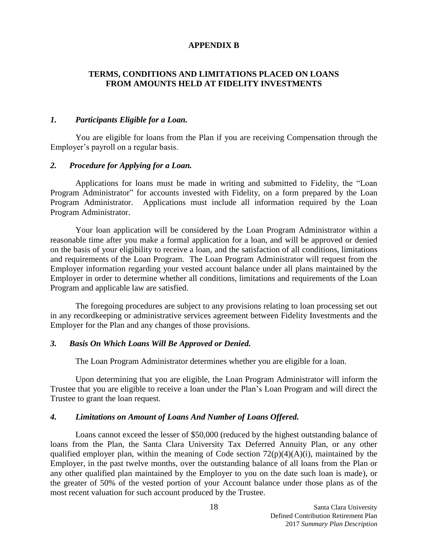#### **APPENDIX B**

## **TERMS, CONDITIONS AND LIMITATIONS PLACED ON LOANS FROM AMOUNTS HELD AT FIDELITY INVESTMENTS**

## *1. Participants Eligible for a Loan.*

You are eligible for loans from the Plan if you are receiving Compensation through the Employer's payroll on a regular basis.

## *2. Procedure for Applying for a Loan.*

Applications for loans must be made in writing and submitted to Fidelity, the "Loan Program Administrator" for accounts invested with Fidelity, on a form prepared by the Loan Program Administrator. Applications must include all information required by the Loan Program Administrator.

Your loan application will be considered by the Loan Program Administrator within a reasonable time after you make a formal application for a loan, and will be approved or denied on the basis of your eligibility to receive a loan, and the satisfaction of all conditions, limitations and requirements of the Loan Program. The Loan Program Administrator will request from the Employer information regarding your vested account balance under all plans maintained by the Employer in order to determine whether all conditions, limitations and requirements of the Loan Program and applicable law are satisfied.

The foregoing procedures are subject to any provisions relating to loan processing set out in any recordkeeping or administrative services agreement between Fidelity Investments and the Employer for the Plan and any changes of those provisions.

#### *3. Basis On Which Loans Will Be Approved or Denied.*

The Loan Program Administrator determines whether you are eligible for a loan.

Upon determining that you are eligible, the Loan Program Administrator will inform the Trustee that you are eligible to receive a loan under the Plan's Loan Program and will direct the Trustee to grant the loan request.

#### *4. Limitations on Amount of Loans And Number of Loans Offered.*

Loans cannot exceed the lesser of \$50,000 (reduced by the highest outstanding balance of loans from the Plan, the Santa Clara University Tax Deferred Annuity Plan, or any other qualified employer plan, within the meaning of Code section  $72(p)(4)(A)(i)$ , maintained by the Employer, in the past twelve months, over the outstanding balance of all loans from the Plan or any other qualified plan maintained by the Employer to you on the date such loan is made), or the greater of 50% of the vested portion of your Account balance under those plans as of the most recent valuation for such account produced by the Trustee.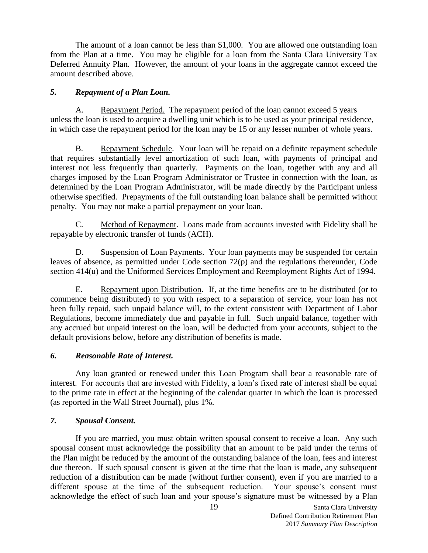The amount of a loan cannot be less than \$1,000. You are allowed one outstanding loan from the Plan at a time. You may be eligible for a loan from the Santa Clara University Tax Deferred Annuity Plan. However, the amount of your loans in the aggregate cannot exceed the amount described above.

## *5. Repayment of a Plan Loan.*

A. Repayment Period. The repayment period of the loan cannot exceed 5 years unless the loan is used to acquire a dwelling unit which is to be used as your principal residence, in which case the repayment period for the loan may be 15 or any lesser number of whole years.

B. Repayment Schedule. Your loan will be repaid on a definite repayment schedule that requires substantially level amortization of such loan, with payments of principal and interest not less frequently than quarterly. Payments on the loan, together with any and all charges imposed by the Loan Program Administrator or Trustee in connection with the loan, as determined by the Loan Program Administrator, will be made directly by the Participant unless otherwise specified. Prepayments of the full outstanding loan balance shall be permitted without penalty.You may not make a partial prepayment on your loan.

C. Method of Repayment. Loans made from accounts invested with Fidelity shall be repayable by electronic transfer of funds (ACH).

D. Suspension of Loan Payments. Your loan payments may be suspended for certain leaves of absence, as permitted under Code section 72(p) and the regulations thereunder, Code section 414(u) and the Uniformed Services Employment and Reemployment Rights Act of 1994.

E. Repayment upon Distribution. If, at the time benefits are to be distributed (or to commence being distributed) to you with respect to a separation of service, your loan has not been fully repaid, such unpaid balance will, to the extent consistent with Department of Labor Regulations, become immediately due and payable in full. Such unpaid balance, together with any accrued but unpaid interest on the loan, will be deducted from your accounts, subject to the default provisions below, before any distribution of benefits is made.

# *6. Reasonable Rate of Interest.*

Any loan granted or renewed under this Loan Program shall bear a reasonable rate of interest. For accounts that are invested with Fidelity, a loan's fixed rate of interest shall be equal to the prime rate in effect at the beginning of the calendar quarter in which the loan is processed (as reported in the Wall Street Journal), plus 1%.

# *7. Spousal Consent.*

If you are married, you must obtain written spousal consent to receive a loan. Any such spousal consent must acknowledge the possibility that an amount to be paid under the terms of the Plan might be reduced by the amount of the outstanding balance of the loan, fees and interest due thereon. If such spousal consent is given at the time that the loan is made, any subsequent reduction of a distribution can be made (without further consent), even if you are married to a different spouse at the time of the subsequent reduction. Your spouse's consent must acknowledge the effect of such loan and your spouse's signature must be witnessed by a Plan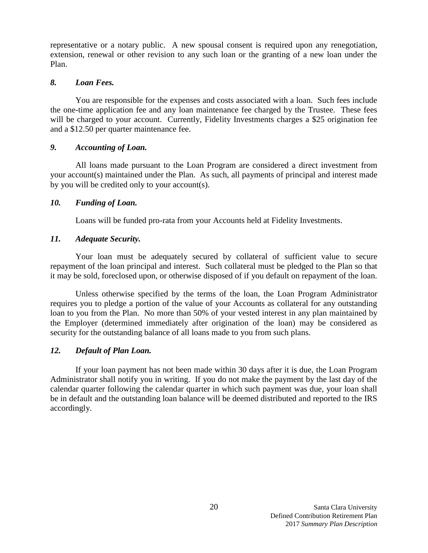representative or a notary public. A new spousal consent is required upon any renegotiation, extension, renewal or other revision to any such loan or the granting of a new loan under the Plan.

## *8. Loan Fees.*

You are responsible for the expenses and costs associated with a loan. Such fees include the one-time application fee and any loan maintenance fee charged by the Trustee. These fees will be charged to your account. Currently, Fidelity Investments charges a \$25 origination fee and a \$12.50 per quarter maintenance fee.

# *9. Accounting of Loan.*

All loans made pursuant to the Loan Program are considered a direct investment from your account(s) maintained under the Plan. As such, all payments of principal and interest made by you will be credited only to your account(s).

# *10. Funding of Loan.*

Loans will be funded pro-rata from your Accounts held at Fidelity Investments.

# *11. Adequate Security.*

Your loan must be adequately secured by collateral of sufficient value to secure repayment of the loan principal and interest. Such collateral must be pledged to the Plan so that it may be sold, foreclosed upon, or otherwise disposed of if you default on repayment of the loan.

Unless otherwise specified by the terms of the loan, the Loan Program Administrator requires you to pledge a portion of the value of your Accounts as collateral for any outstanding loan to you from the Plan. No more than 50% of your vested interest in any plan maintained by the Employer (determined immediately after origination of the loan) may be considered as security for the outstanding balance of all loans made to you from such plans.

# *12. Default of Plan Loan.*

If your loan payment has not been made within 30 days after it is due, the Loan Program Administrator shall notify you in writing. If you do not make the payment by the last day of the calendar quarter following the calendar quarter in which such payment was due, your loan shall be in default and the outstanding loan balance will be deemed distributed and reported to the IRS accordingly.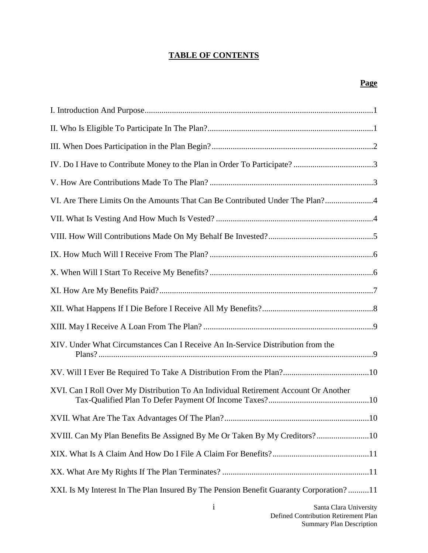# **TABLE OF CONTENTS**

# **Page**

| VI. Are There Limits On the Amounts That Can Be Contributed Under The Plan?            |
|----------------------------------------------------------------------------------------|
|                                                                                        |
|                                                                                        |
|                                                                                        |
|                                                                                        |
|                                                                                        |
|                                                                                        |
|                                                                                        |
| XIV. Under What Circumstances Can I Receive An In-Service Distribution from the        |
|                                                                                        |
| XVI. Can I Roll Over My Distribution To An Individual Retirement Account Or Another    |
|                                                                                        |
| XVIII. Can My Plan Benefits Be Assigned By Me Or Taken By My Creditors?10              |
|                                                                                        |
|                                                                                        |
| XXI. Is My Interest In The Plan Insured By The Pension Benefit Guaranty Corporation?11 |
| Sonto Cloro University                                                                 |